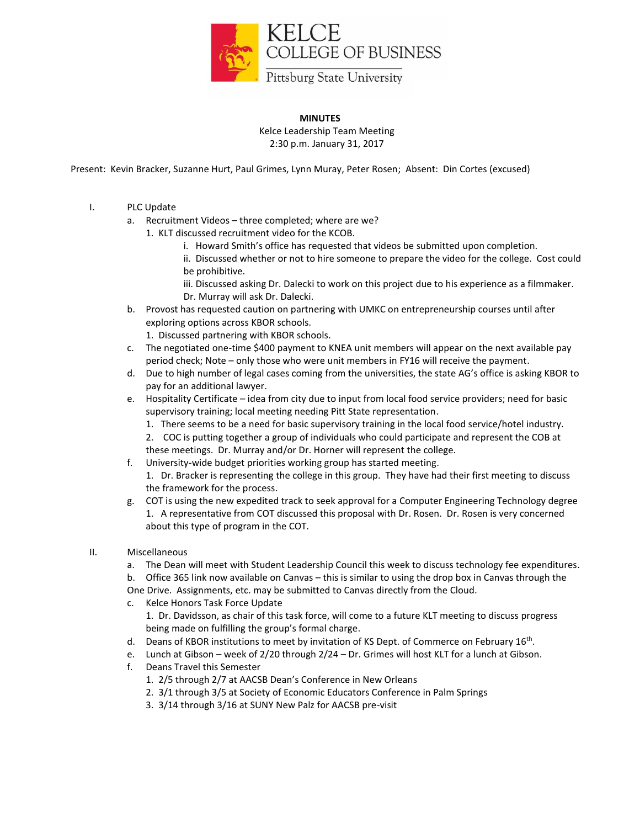

## **MINUTES** Kelce Leadership Team Meeting 2:30 p.m. January 31, 2017

Present: Kevin Bracker, Suzanne Hurt, Paul Grimes, Lynn Muray, Peter Rosen; Absent: Din Cortes (excused)

- I. PLC Update
	- a. Recruitment Videos three completed; where are we?
		- 1. KLT discussed recruitment video for the KCOB.
			- i. Howard Smith's office has requested that videos be submitted upon completion.
			- ii. Discussed whether or not to hire someone to prepare the video for the college. Cost could be prohibitive.
			- iii. Discussed asking Dr. Dalecki to work on this project due to his experience as a filmmaker. Dr. Murray will ask Dr. Dalecki.
	- b. Provost has requested caution on partnering with UMKC on entrepreneurship courses until after exploring options across KBOR schools.
		- 1. Discussed partnering with KBOR schools.
	- c. The negotiated one-time \$400 payment to KNEA unit members will appear on the next available pay period check; Note – only those who were unit members in FY16 will receive the payment.
	- d. Due to high number of legal cases coming from the universities, the state AG's office is asking KBOR to pay for an additional lawyer.
	- e. Hospitality Certificate idea from city due to input from local food service providers; need for basic supervisory training; local meeting needing Pitt State representation.
		- 1. There seems to be a need for basic supervisory training in the local food service/hotel industry.
		- 2. COC is putting together a group of individuals who could participate and represent the COB at
		- these meetings. Dr. Murray and/or Dr. Horner will represent the college.
	- f. University-wide budget priorities working group has started meeting.
		- 1. Dr. Bracker is representing the college in this group. They have had their first meeting to discuss the framework for the process.
	- g. COT is using the new expedited track to seek approval for a Computer Engineering Technology degree 1. A representative from COT discussed this proposal with Dr. Rosen. Dr. Rosen is very concerned about this type of program in the COT.
- II. Miscellaneous
	- a. The Dean will meet with Student Leadership Council this week to discuss technology fee expenditures.
	- b. Office 365 link now available on Canvas this is similar to using the drop box in Canvas through the
	- One Drive. Assignments, etc. may be submitted to Canvas directly from the Cloud.
	- c. Kelce Honors Task Force Update 1. Dr. Davidsson, as chair of this task force, will come to a future KLT meeting to discuss progress
		- being made on fulfilling the group's formal charge.
	- d. Deans of KBOR institutions to meet by invitation of KS Dept. of Commerce on February 16<sup>th</sup>.
	- e. Lunch at Gibson week of 2/20 through 2/24 Dr. Grimes will host KLT for a lunch at Gibson.
	- f. Deans Travel this Semester
		- 1. 2/5 through 2/7 at AACSB Dean's Conference in New Orleans
		- 2. 3/1 through 3/5 at Society of Economic Educators Conference in Palm Springs
		- 3. 3/14 through 3/16 at SUNY New Palz for AACSB pre-visit